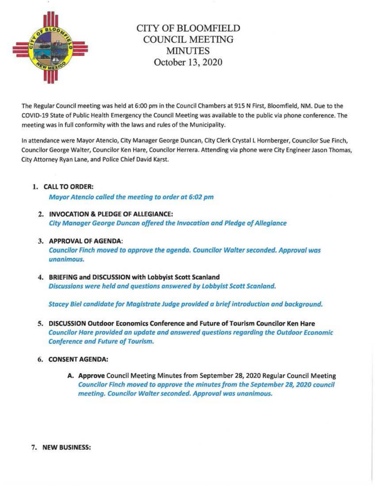

# CITY OF BLOOMFIELD COUNCIL MEETING MINUTES October 13, 2020

The Regular Council meeting was held at 6:00 pm in the Council Chambers at 915 N First, Bloomfield, NM. Due to the COVID-19 State of Public Health Emergency the Council Meeting was available to the public via phone conference. The meeting was in full conformity with the laws and rules of the Municipality.

In attendance were Mayor Atencio, City Manager George Duncan, City Clerk Crystal l Hornberger, Councilor Sue Finch, Councilor George Walter, Councilor Ken Hare, Councilor Herrera. Attending via phone were City Engineer Jason Thomas, City Attorney Ryan Lane, and Police Chief David Karst.

## 1. CALL TO ORDER:

Mayor Atencio called the meeting to order ot 6:02 pm

2. INVOCATION & PLEDGE OF ALLEGIANCE: City Manager George Duncan offered the Invocation and Pledge of Allegiance

## 3. APPROVAL OF AGENDA: Councilor Finch moved to approve the agenda. Councilor Walter seconded. Approval was unanimous.

4. BRIEFING and DISCUSSION with Lobbyist Scott Scanland Discussions were held and questions answered by Lobbyist Scott Scan/and.

Stacey Biel candidate for Magistrate Judge provided a brief introduction and background.

S. DISCUSSION Outdoor Economics Conference and Future of Tourism Councilor Ken Hare Councilor Hare provided an update and answered questions regarding the Outdoor Economic Conference and Future of Tourism.

### 6. CONSENT AGENDA:

- A. Approve Council Meeting Minutes from September 28, 2D20 Regular Council Meeting Councilor Finch moved to approve the minutes from the September 28, 2020 council meeting. Councilor Walter seconded. Approval was unanimous.
- 7. NEW BUSINESS: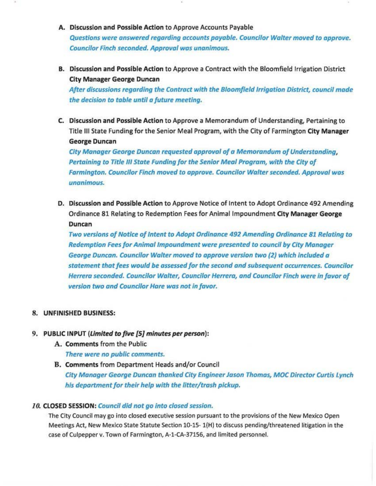- A. Discussion and Possible Action to Approve Accounts Payable Questions were answered regarding accounts payable. Councilor Walter moved to approve. Councilor Finch seconded. Approval was unanimous.
- B. Discussion and Possible Action to Approve a Contract with the Bloomfield Irrigation District City Manager George Duncan After discussions regarding the Contract with the Bloomfield Irrigation District, council made

the decision to table until a future meeting.

C. Discussion and Possible Action to Approve a Memorandum of Understanding, Pertaining to Title III State Funding for the Senior Meal Program, with the City of Farmington City Manager George Duncan

City Manager George Duncan requested approval of a Memorandum of Understanding, Pertaining *to* Title Ill State Funding for the Senior Meal Program, with the City of Farmington. Councilor Finch moved to approve. Councilor Walter seconded. Approval was unanimous.

D. Discussion and Possible Action to Approve Notice of Intent to Adopt Ordinance 492 Amending Ordinance 81 Relating to Redemption Fees for Animal lmpoundment City Manager George Duncan

Two versions of Notice of Intent to Adopt Ordinance 492 Amending Ordinance 81 Relating to Redemption Fees for Animal lmpoundment were presented to council by City Manager George Duncan. Councilor Walter moved to approve version two (2) which included o statement that fees would be assessed for the second and subsequent occurrences. Councilor Herrera seconded. Councllor Wolter, Councilor Herrera, and Councilor Finch were in favor of version two and Councilor Hare was not in favor.

- 8. UNFINISHED BUSINESS:
- 9. PUBLIC INPUT (Limited *to* five [5} minutes per person):
	- A. Comments from the Public

There were no public comments.

B. Comments from Department Heads and/or Council City Manager George Duncan thanked City Engineer Jason Thomas, MOC Director Curtis Lynch his department for their help with the litter/trash pickup.

### 10. CLOSED SESSION: Council did not go into closed session.

The City Council may go into closed executive session pursuant to the provisions of the New Mexico Open Meetings Act, New Mexico State Statute Section 10-15-1(H) to discuss pending/threatened litigation in the case of Culpepper v. Town of Farmington, A·l·CA-37156, and limited personnel.